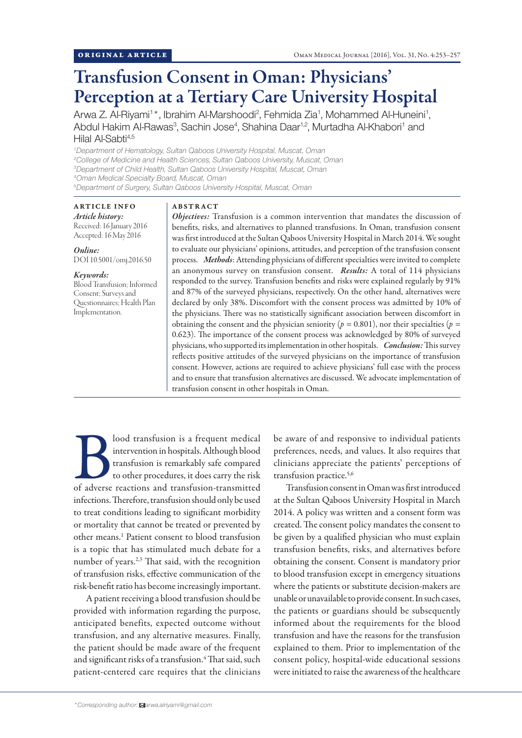# Transfusion Consent in Oman: Physicians' Perception at a Tertiary Care University Hospital

Arwa Z. Al-Riyami<sup>1\*</sup>, Ibrahim Al-Marshoodi<sup>2</sup>, Fehmida Zia<sup>1</sup>, Mohammed Al-Huneini<sup>1</sup>, Abdul Hakim Al-Rawas<sup>3</sup>, Sachin Jose<sup>4</sup>, Shahina Daar<sup>1,2</sup>, Murtadha Al-Khabori<sup>1</sup> and Hilal Al-Sabti<sup>4,5</sup>

 *Department of Hematology, Sultan Qaboos University Hospital, Muscat, Oman College of Medicine and Health Sciences, Sultan Qaboos University, Muscat, Oman Department of Child Health, Sultan Qaboos University Hospital, Muscat, Oman Oman Medical Specialty Board, Muscat, Oman Department of Surgery, Sultan Qaboos University Hospital, Muscat, Oman*

# ARTICLE INFO

*Article history:* Received: 16 January 2016 Accepted: 16 May 2016

*Online:* DOI 10.5001/omj.2016.50

### *Keywords:*

Blood Transfusion; Informed Consent; Surveys and Questionnaires; Health Plan Implementation.

### ABSTRACT

*Objectives:* Transfusion is a common intervention that mandates the discussion of benefits, risks, and alternatives to planned transfusions. In Oman, transfusion consent was first introduced at the Sultan Qaboos University Hospital in March 2014. We sought to evaluate our physicians' opinions, attitudes, and perception of the transfusion consent process. *Methods*: Attending physicians of different specialties were invited to complete an anonymous survey on transfusion consent. *Results:* A total of 114 physicians responded to the survey. Transfusion benefits and risks were explained regularly by 91% and 87% of the surveyed physicians, respectively. On the other hand, alternatives were declared by only 38%. Discomfort with the consent process was admitted by 10% of the physicians. There was no statistically significant association between discomfort in obtaining the consent and the physician seniority ( $p = 0.801$ ), nor their specialties ( $p =$ 0.623). The importance of the consent process was acknowledged by 80% of surveyed physicians, who supported its implementation in other hospitals. *Conclusion:* This survey reflects positive attitudes of the surveyed physicians on the importance of transfusion consent. However, actions are required to achieve physicians' full ease with the process and to ensure that transfusion alternatives are discussed. We advocate implementation of transfusion consent in other hospitals in Oman.

**Blood transfusion is a frequent medical intervention in hospitals. Although blood transfusion is remarkably safe compared to other procedures, it does carry the risk of adverse reactions and transfusion-transmitted** intervention in hospitals. Although blood transfusion is remarkably safe compared to other procedures, it does carry the risk infections. Therefore, transfusion should only be used to treat conditions leading to significant morbidity or mortality that cannot be treated or prevented by other means.1 Patient consent to blood transfusion is a topic that has stimulated much debate for a number of years.<sup>2,3</sup> That said, with the recognition of transfusion risks, effective communication of the risk-benefit ratio has become increasingly important.

A patient receiving a blood transfusion should be provided with information regarding the purpose, anticipated benefits, expected outcome without transfusion, and any alternative measures. Finally, the patient should be made aware of the frequent and significant risks of a transfusion.<sup>4</sup> That said, such patient-centered care requires that the clinicians

be aware of and responsive to individual patients preferences, needs, and values. It also requires that clinicians appreciate the patients' perceptions of transfusion practice.<sup>5,6</sup>

Transfusion consent in Oman was first introduced at the Sultan Qaboos University Hospital in March 2014. A policy was written and a consent form was created. The consent policy mandates the consent to be given by a qualified physician who must explain transfusion benefits, risks, and alternatives before obtaining the consent. Consent is mandatory prior to blood transfusion except in emergency situations where the patients or substitute decision-makers are unable or unavailable to provide consent. In such cases, the patients or guardians should be subsequently informed about the requirements for the blood transfusion and have the reasons for the transfusion explained to them. Prior to implementation of the consent policy, hospital-wide educational sessions were initiated to raise the awareness of the healthcare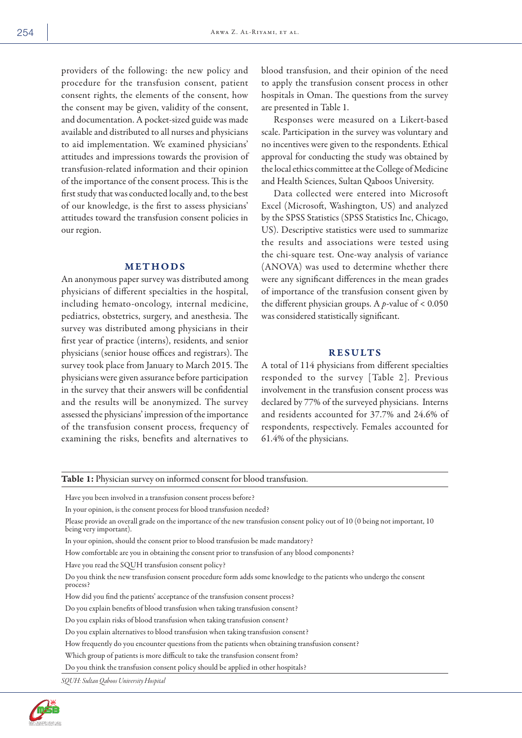providers of the following: the new policy and procedure for the transfusion consent, patient consent rights, the elements of the consent, how the consent may be given, validity of the consent, and documentation. A pocket-sized guide was made available and distributed to all nurses and physicians to aid implementation. We examined physicians' attitudes and impressions towards the provision of transfusion-related information and their opinion of the importance of the consent process. This is the first study that was conducted locally and, to the best of our knowledge, is the first to assess physicians' attitudes toward the transfusion consent policies in our region.

# METHODS

An anonymous paper survey was distributed among physicians of different specialties in the hospital, including hemato-oncology, internal medicine, pediatrics, obstetrics, surgery, and anesthesia. The survey was distributed among physicians in their first year of practice (interns), residents, and senior physicians (senior house offices and registrars). The survey took place from January to March 2015. The physicians were given assurance before participation in the survey that their answers will be confidential and the results will be anonymized. The survey assessed the physicians' impression of the importance of the transfusion consent process, frequency of examining the risks, benefits and alternatives to

blood transfusion, and their opinion of the need to apply the transfusion consent process in other hospitals in Oman. The questions from the survey are presented in Table 1.

Responses were measured on a Likert-based scale. Participation in the survey was voluntary and no incentives were given to the respondents. Ethical approval for conducting the study was obtained by the local ethics committee at the College of Medicine and Health Sciences, Sultan Qaboos University.

Data collected were entered into Microsoft Excel (Microsoft, Washington, US) and analyzed by the SPSS Statistics (SPSS Statistics Inc, Chicago, US). Descriptive statistics were used to summarize the results and associations were tested using the chi-square test. One-way analysis of variance (ANOVA) was used to determine whether there were any significant differences in the mean grades of importance of the transfusion consent given by the different physician groups. A *p-*value of < 0.050 was considered statistically significant.

## RESULTS

A total of 114 physicians from different specialties responded to the survey [Table 2]. Previous involvement in the transfusion consent process was declared by 77% of the surveyed physicians. Interns and residents accounted for 37.7% and 24.6% of respondents, respectively. Females accounted for 61.4% of the physicians.

Table 1: Physician survey on informed consent for blood transfusion.

Have you been involved in a transfusion consent process before?

In your opinion, is the consent process for blood transfusion needed?

Please provide an overall grade on the importance of the new transfusion consent policy out of 10 (0 being not important, 10 being very important).

In your opinion, should the consent prior to blood transfusion be made mandatory?

How comfortable are you in obtaining the consent prior to transfusion of any blood components?

Have you read the SQUH transfusion consent policy?

Do you think the new transfusion consent procedure form adds some knowledge to the patients who undergo the consent process?

How did you find the patients' acceptance of the transfusion consent process?

Do you explain benefits of blood transfusion when taking transfusion consent?

Do you explain risks of blood transfusion when taking transfusion consent?

Do you explain alternatives to blood transfusion when taking transfusion consent?

How frequently do you encounter questions from the patients when obtaining transfusion consent?

Which group of patients is more difficult to take the transfusion consent from?

Do you think the transfusion consent policy should be applied in other hospitals?

*SQUH: Sultan Qaboos University Hospital*

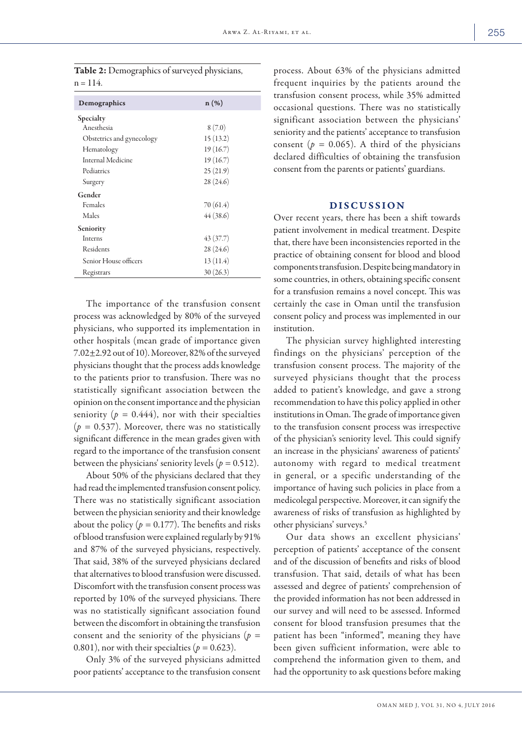| Table 2: Demographics of surveyed physicians, |  |
|-----------------------------------------------|--|
| $n = 114$ .                                   |  |

| $n(\%)$   |
|-----------|
|           |
| 8(7.0)    |
| 15(13.2)  |
| 19(16.7)  |
| 19(16.7)  |
| 25(21.9)  |
| 28(24.6)  |
|           |
| 70 (61.4) |
| 44(38.6)  |
|           |
| 43(37.7)  |
| 28 (24.6) |
| 13(11.4)  |
| 30(26.3)  |
|           |

The importance of the transfusion consent process was acknowledged by 80% of the surveyed physicians, who supported its implementation in other hospitals (mean grade of importance given 7.02±2.92 out of 10). Moreover, 82% of the surveyed physicians thought that the process adds knowledge to the patients prior to transfusion. There was no statistically significant association between the opinion on the consent importance and the physician seniority ( $p = 0.444$ ), nor with their specialties  $(p = 0.537)$ . Moreover, there was no statistically significant difference in the mean grades given with regard to the importance of the transfusion consent between the physicians' seniority levels ( $p = 0.512$ ).

About 50% of the physicians declared that they had read the implemented transfusion consent policy. There was no statistically significant association between the physician seniority and their knowledge about the policy  $(p = 0.177)$ . The benefits and risks of blood transfusion were explained regularly by 91% and 87% of the surveyed physicians, respectively. That said, 38% of the surveyed physicians declared that alternatives to blood transfusion were discussed. Discomfort with the transfusion consent process was reported by 10% of the surveyed physicians. There was no statistically significant association found between the discomfort in obtaining the transfusion consent and the seniority of the physicians (*p =*  0.801), nor with their specialties ( $p = 0.623$ ).

Only 3% of the surveyed physicians admitted poor patients' acceptance to the transfusion consent process. About 63% of the physicians admitted frequent inquiries by the patients around the transfusion consent process, while 35% admitted occasional questions. There was no statistically significant association between the physicians' seniority and the patients' acceptance to transfusion consent ( $p = 0.065$ ). A third of the physicians declared difficulties of obtaining the transfusion consent from the parents or patients' guardians.

# DISCUSSION

Over recent years, there has been a shift towards patient involvement in medical treatment. Despite that, there have been inconsistencies reported in the practice of obtaining consent for blood and blood components transfusion. Despite being mandatory in some countries, in others, obtaining specific consent for a transfusion remains a novel concept. This was certainly the case in Oman until the transfusion consent policy and process was implemented in our institution.

The physician survey highlighted interesting findings on the physicians' perception of the transfusion consent process. The majority of the surveyed physicians thought that the process added to patient's knowledge, and gave a strong recommendation to have this policy applied in other institutions in Oman. The grade of importance given to the transfusion consent process was irrespective of the physician's seniority level. This could signify an increase in the physicians' awareness of patients' autonomy with regard to medical treatment in general, or a specific understanding of the importance of having such policies in place from a medicolegal perspective. Moreover, it can signify the awareness of risks of transfusion as highlighted by other physicians' surveys.5

Our data shows an excellent physicians' perception of patients' acceptance of the consent and of the discussion of benefits and risks of blood transfusion. That said, details of what has been assessed and degree of patients' comprehension of the provided information has not been addressed in our survey and will need to be assessed. Informed consent for blood transfusion presumes that the patient has been "informed", meaning they have been given sufficient information, were able to comprehend the information given to them, and had the opportunity to ask questions before making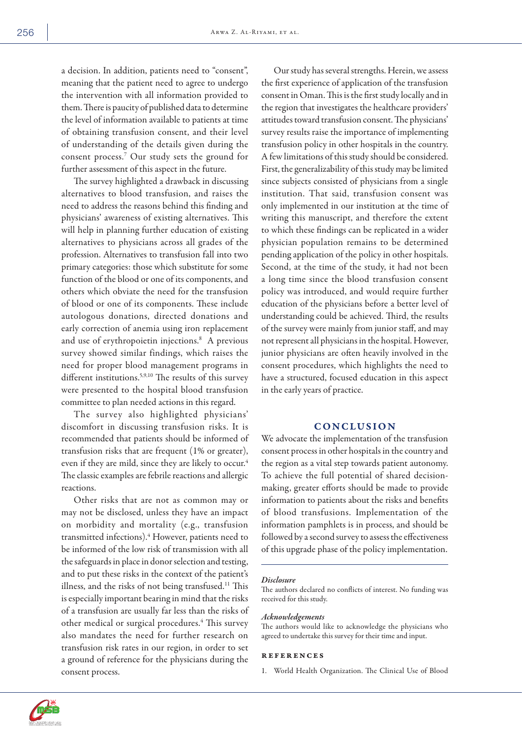a decision. In addition, patients need to "consent", meaning that the patient need to agree to undergo the intervention with all information provided to them. There is paucity of published data to determine the level of information available to patients at time of obtaining transfusion consent, and their level of understanding of the details given during the consent process.7 Our study sets the ground for further assessment of this aspect in the future.

The survey highlighted a drawback in discussing alternatives to blood transfusion, and raises the need to address the reasons behind this finding and physicians' awareness of existing alternatives. This will help in planning further education of existing alternatives to physicians across all grades of the profession. Alternatives to transfusion fall into two primary categories: those which substitute for some function of the blood or one of its components, and others which obviate the need for the transfusion of blood or one of its components. These include autologous donations, directed donations and early correction of anemia using iron replacement and use of erythropoietin injections.<sup>8</sup> A previous survey showed similar findings, which raises the need for proper blood management programs in different institutions.<sup>5,9,10</sup> The results of this survey were presented to the hospital blood transfusion committee to plan needed actions in this regard.

The survey also highlighted physicians' discomfort in discussing transfusion risks. It is recommended that patients should be informed of transfusion risks that are frequent (1% or greater), even if they are mild, since they are likely to occur.<sup>4</sup> The classic examples are febrile reactions and allergic reactions.

Other risks that are not as common may or may not be disclosed, unless they have an impact on morbidity and mortality (e.g., transfusion transmitted infections).4 However, patients need to be informed of the low risk of transmission with all the safeguards in place in donor selection and testing, and to put these risks in the context of the patient's illness, and the risks of not being transfused.<sup>11</sup> This is especially important bearing in mind that the risks of a transfusion are usually far less than the risks of other medical or surgical procedures.<sup>4</sup> This survey also mandates the need for further research on transfusion risk rates in our region, in order to set a ground of reference for the physicians during the consent process.

Our study has several strengths. Herein, we assess the first experience of application of the transfusion consent in Oman. This is the first study locally and in the region that investigates the healthcare providers' attitudes toward transfusion consent. The physicians' survey results raise the importance of implementing transfusion policy in other hospitals in the country. A few limitations of this study should be considered. First, the generalizability of this study may be limited since subjects consisted of physicians from a single institution. That said, transfusion consent was only implemented in our institution at the time of writing this manuscript, and therefore the extent to which these findings can be replicated in a wider physician population remains to be determined pending application of the policy in other hospitals. Second, at the time of the study, it had not been a long time since the blood transfusion consent policy was introduced, and would require further education of the physicians before a better level of understanding could be achieved. Third, the results of the survey were mainly from junior staff, and may not represent all physicians in the hospital. However, junior physicians are often heavily involved in the consent procedures, which highlights the need to have a structured, focused education in this aspect in the early years of practice.

# **CONCLUSION**

We advocate the implementation of the transfusion consent process in other hospitals in the country and the region as a vital step towards patient autonomy. To achieve the full potential of shared decisionmaking, greater efforts should be made to provide information to patients about the risks and benefits of blood transfusions. Implementation of the information pamphlets is in process, and should be followed by a second survey to assess the effectiveness of this upgrade phase of the policy implementation.

#### *Disclosure*

The authors declared no conflicts of interest. No funding was received for this study.

#### *Acknowledgements*

The authors would like to acknowledge the physicians who agreed to undertake this survey for their time and input.

#### references

1. World Health Organization. The Clinical Use of Blood